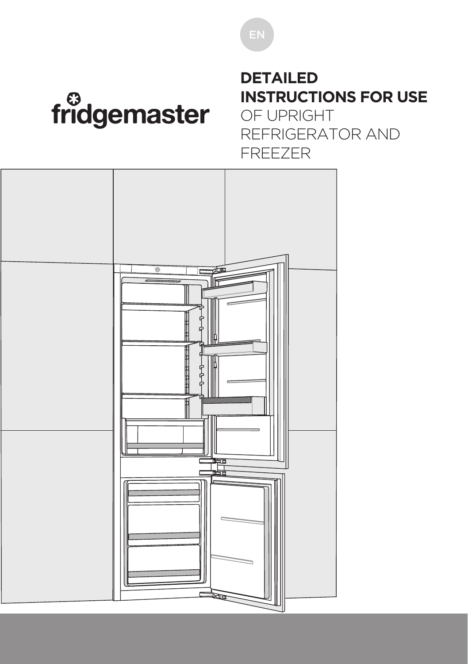## fridgemaster

#### **DETAILED INSTRUCTIONS FOR USE**

OF UPRIGHT REFRIGERATOR AND FREEZER

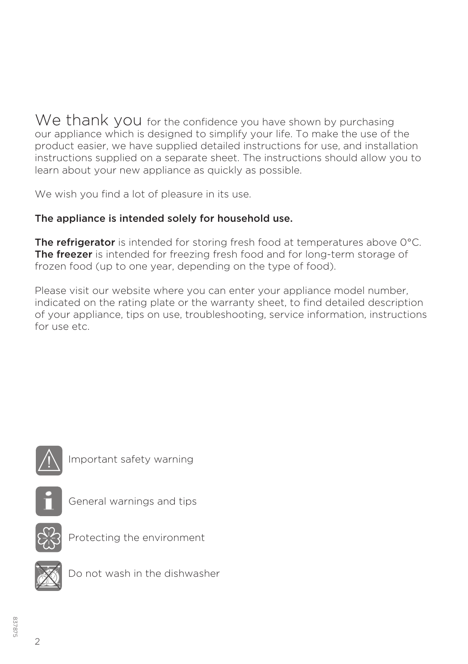We thank you for the confidence you have shown by purchasing our appliance which is designed to simplify your life. To make the use of the product easier, we have supplied detailed instructions for use, and installation instructions supplied on a separate sheet. The instructions should allow you to learn about your new appliance as quickly as possible.

We wish you find a lot of pleasure in its use.

#### The appliance is intended solely for household use.

The refrigerator is intended for storing fresh food at temperatures above 0°C. The freezer is intended for freezing fresh food and for long-term storage of frozen food (up to one year, depending on the type of food).

Please visit our website where you can enter your appliance model number, indicated on the rating plate or the warranty sheet, to find detailed description of your appliance, tips on use, troubleshooting, service information, instructions for use etc.



Important safety warning



General warnings and tips



Protecting the environment



Do not wash in the dishwasher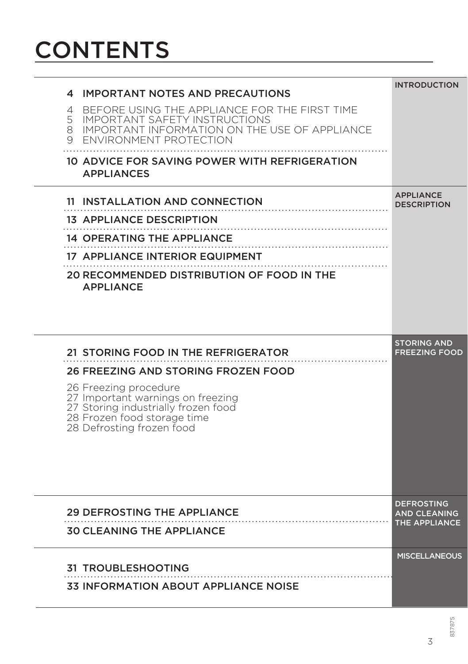## **CONTENTS**

| <b>IMPORTANT NOTES AND PRECAUTIONS</b><br>4<br>BEFORE USING THE APPLIANCE FOR THE FIRST TIME<br>4<br>5<br><b>IMPORTANT SAFETY INSTRUCTIONS</b><br>8<br>IMPORTANT INFORMATION ON THE USE OF APPLIANCE<br>ENVIRONMENT PROTECTION<br>9<br>10 ADVICE FOR SAVING POWER WITH REFRIGERATION<br><b>APPLIANCES</b> | <b>INTRODUCTION</b>                                       |
|-----------------------------------------------------------------------------------------------------------------------------------------------------------------------------------------------------------------------------------------------------------------------------------------------------------|-----------------------------------------------------------|
| 11 INSTALLATION AND CONNECTION<br><b>13 APPLIANCE DESCRIPTION</b><br>14 OPERATING THE APPLIANCE<br><b>17 APPLIANCE INTERIOR EQUIPMENT</b><br>20 RECOMMENDED DISTRIBUTION OF FOOD IN THE<br><b>APPLIANCE</b>                                                                                               | <b>APPLIANCE</b><br><b>DESCRIPTION</b>                    |
| 21 STORING FOOD IN THE REFRIGERATOR<br>26 FREEZING AND STORING FROZEN FOOD<br>26 Freezing procedure<br>27 Important warnings on freezing<br>27 Storing industrially frozen food<br>28 Frozen food storage time<br>28 Defrosting frozen food                                                               | <b>STORING AND</b><br><b>FREEZING FOOD</b>                |
| <b>29 DEFROSTING THE APPLIANCE</b><br><b>30 CLEANING THE APPLIANCE</b>                                                                                                                                                                                                                                    | <b>DEFROSTING</b><br><b>AND CLEANING</b><br>THE APPLIANCE |
| <b>31 TROUBLESHOOTING</b><br><b>33 INFORMATION ABOUT APPLIANCE NOISE</b>                                                                                                                                                                                                                                  | <b>MISCELLANEOUS</b>                                      |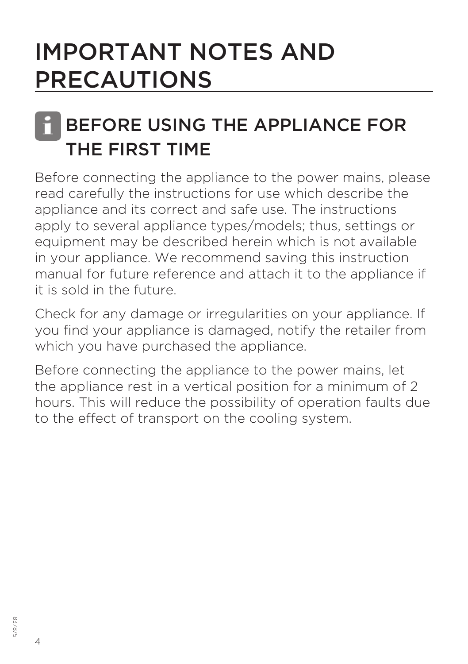## IMPORTANT NOTES AND PRECAUTIONS

#### BEFORE USING THE APPLIANCE FOR THE FIRST TIME i

Before connecting the appliance to the power mains, please read carefully the instructions for use which describe the appliance and its correct and safe use. The instructions apply to several appliance types/models; thus, settings or equipment may be described herein which is not available in your appliance. We recommend saving this instruction manual for future reference and attach it to the appliance if it is sold in the future.

Check for any damage or irregularities on your appliance. If you find your appliance is damaged, notify the retailer from which you have purchased the appliance.

Before connecting the appliance to the power mains, let the appliance rest in a vertical position for a minimum of 2 hours. This will reduce the possibility of operation faults due to the effect of transport on the cooling system.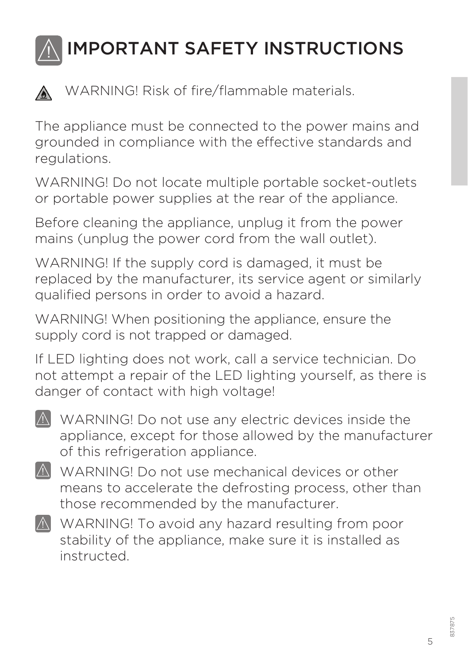

WARNING! Risk of fire/flammable materials.

The appliance must be connected to the power mains and grounded in compliance with the effective standards and regulations.

WARNING! Do not locate multiple portable socket-outlets or portable power supplies at the rear of the appliance.

Before cleaning the appliance, unplug it from the power mains (unplug the power cord from the wall outlet).

WARNING! If the supply cord is damaged, it must be replaced by the manufacturer, its service agent or similarly qualified persons in order to avoid a hazard.

WARNING! When positioning the appliance, ensure the supply cord is not trapped or damaged.

If LED lighting does not work, call a service technician. Do not attempt a repair of the LED lighting yourself, as there is danger of contact with high voltage!

- $\Lambda$  WARNING! Do not use any electric devices inside the appliance, except for those allowed by the manufacturer of this refrigeration appliance.
- $\mathbb \Lambda$  WARNING! Do not use mechanical devices or other means to accelerate the defrosting process, other than those recommended by the manufacturer.
- $\Lambda$  WARNING! To avoid any hazard resulting from poor stability of the appliance, make sure it is installed as instructed.

5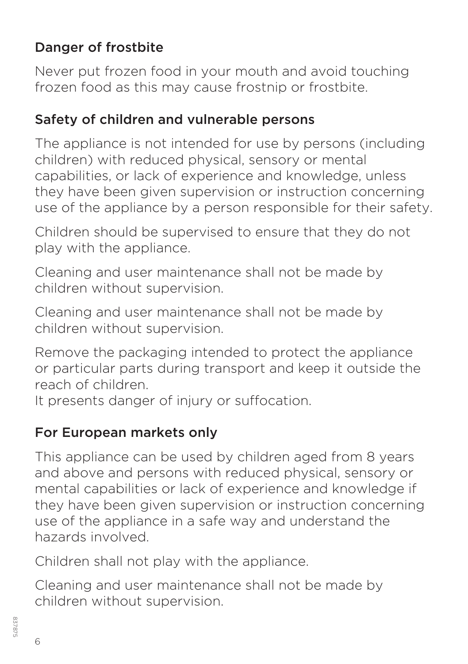#### Danger of frostbite

Never put frozen food in your mouth and avoid touching frozen food as this may cause frostnip or frostbite.

#### Safety of children and vulnerable persons

The appliance is not intended for use by persons (including children) with reduced physical, sensory or mental capabilities, or lack of experience and knowledge, unless they have been given supervision or instruction concerning use of the appliance by a person responsible for their safety.

Children should be supervised to ensure that they do not play with the appliance.

Cleaning and user maintenance shall not be made by children without supervision.

Cleaning and user maintenance shall not be made by children without supervision.

Remove the packaging intended to protect the appliance or particular parts during transport and keep it outside the reach of children.

It presents danger of injury or suffocation.

#### For European markets only

This appliance can be used by children aged from 8 years and above and persons with reduced physical, sensory or mental capabilities or lack of experience and knowledge if they have been given supervision or instruction concerning use of the appliance in a safe way and understand the hazards involved.

Children shall not play with the appliance.

Cleaning and user maintenance shall not be made by children without supervision.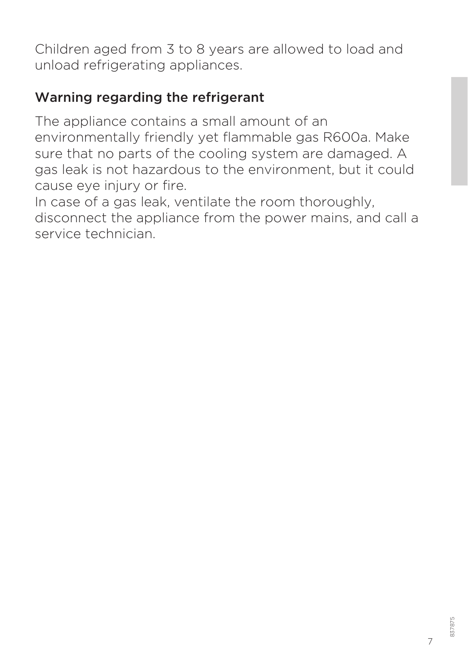Children aged from 3 to 8 years are allowed to load and unload refrigerating appliances.

#### Warning regarding the refrigerant

The appliance contains a small amount of an environmentally friendly yet flammable gas R600a. Make sure that no parts of the cooling system are damaged. A gas leak is not hazardous to the environment, but it could cause eye injury or fire.

In case of a gas leak, ventilate the room thoroughly, disconnect the appliance from the power mains, and call a service technician.

7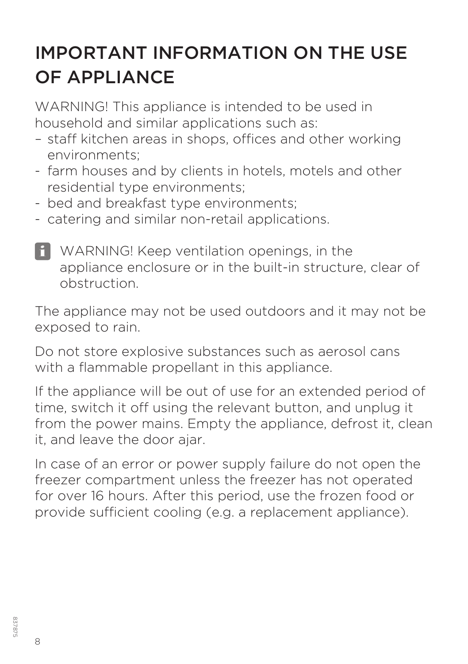## IMPORTANT INFORMATION ON THE USE OF APPLIANCE

WARNING! This appliance is intended to be used in household and similar applications such as:

- staff kitchen areas in shops, offices and other working environments;
- farm houses and by clients in hotels, motels and other residential type environments;
- bed and breakfast type environments;
- catering and similar non-retail applications.
- i WARNING! Keep ventilation openings, in the appliance enclosure or in the built-in structure, clear of obstruction.

The appliance may not be used outdoors and it may not be exposed to rain.

Do not store explosive substances such as aerosol cans with a flammable propellant in this appliance.

If the appliance will be out of use for an extended period of time, switch it off using the relevant button, and unplug it from the power mains. Empty the appliance, defrost it, clean it, and leave the door ajar.

In case of an error or power supply failure do not open the freezer compartment unless the freezer has not operated for over 16 hours. After this period, use the frozen food or provide sufficient cooling (e.g. a replacement appliance).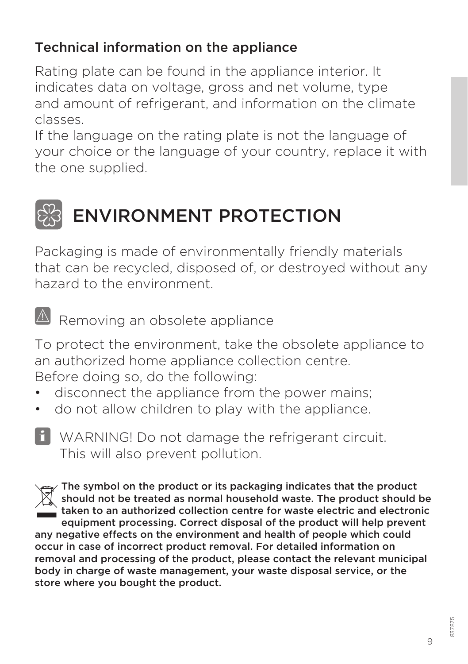#### Technical information on the appliance

Rating plate can be found in the appliance interior. It indicates data on voltage, gross and net volume, type and amount of refrigerant, and information on the climate classes.

If the language on the rating plate is not the language of your choice or the language of your country, replace it with the one supplied.

## ENVIRONMENT PROTECTION

Packaging is made of environmentally friendly materials that can be recycled, disposed of, or destroyed without any hazard to the environment.

 $\overline{\mathbb{A}}$  Removing an obsolete appliance

To protect the environment, take the obsolete appliance to an authorized home appliance collection centre. Before doing so, do the following:

- disconnect the appliance from the power mains;
- do not allow children to play with the appliance.
- i WARNING! Do not damage the refrigerant circuit. This will also prevent pollution.

The symbol on the product or its packaging indicates that the product should not be treated as normal household waste. The product should be taken to an authorized collection centre for waste electric and electronic equipment processing. Correct disposal of the product will help prevent any negative effects on the environment and health of people which could occur in case of incorrect product removal. For detailed information on removal and processing of the product, please contact the relevant municipal body in charge of waste management, your waste disposal service, or the store where you bought the product.

9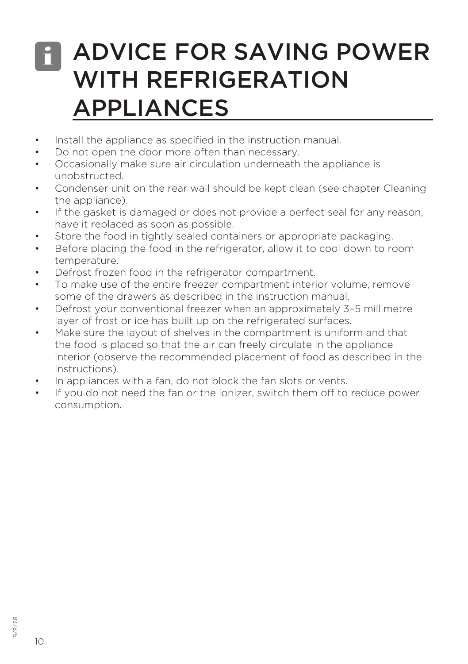#### ADVICE FOR SAVING POWER WITH REFRIGERATION APPLIANCES i

- Install the appliance as specified in the instruction manual.
- Do not open the door more often than necessary.
- Occasionally make sure air circulation underneath the appliance is unobstructed.
- Condenser unit on the rear wall should be kept clean (see chapter Cleaning the appliance).
- If the gasket is damaged or does not provide a perfect seal for any reason, have it replaced as soon as possible.
- Store the food in tightly sealed containers or appropriate packaging.
- Before placing the food in the refrigerator, allow it to cool down to room temperature.
- Defrost frozen food in the refrigerator compartment.
- To make use of the entire freezer compartment interior volume, remove some of the drawers as described in the instruction manual.
- Defrost your conventional freezer when an approximately 3–5 millimetre layer of frost or ice has built up on the refrigerated surfaces.
- Make sure the layout of shelves in the compartment is uniform and that the food is placed so that the air can freely circulate in the appliance interior (observe the recommended placement of food as described in the instructions).
- In appliances with a fan, do not block the fan slots or vents.
- If you do not need the fan or the ionizer, switch them off to reduce power consumption.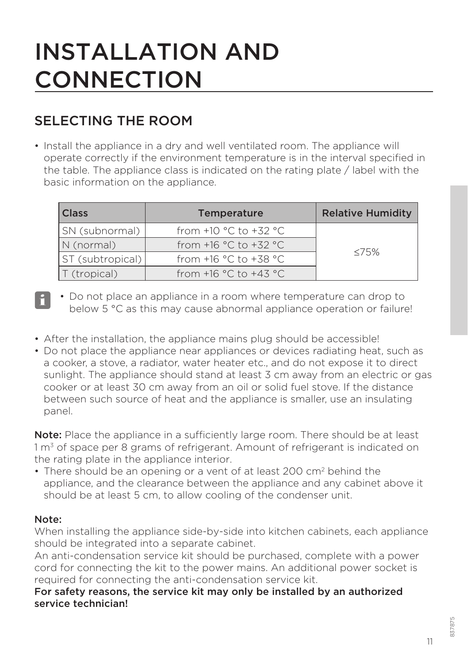## INSTALLATION AND **CONNECTION**

#### SELECTING THE ROOM

• Install the appliance in a dry and well ventilated room. The appliance will operate correctly if the environment temperature is in the interval specified in the table. The appliance class is indicated on the rating plate / label with the basic information on the appliance.

| <b>Class</b>     | <b>Temperature</b>                        | <b>Relative Humidity</b> |
|------------------|-------------------------------------------|--------------------------|
| SN (subnormal)   | from $+10$ °C to $+32$ °C                 |                          |
| N (normal)       | from $+16$ °C to $+32$ °C                 |                          |
| ST (subtropical) | from +16 $^{\circ}$ C to +38 $^{\circ}$ C | $\leq 75\%$              |
| T (tropical)     | from +16 $^{\circ}$ C to +43 $^{\circ}$ C |                          |

• Do not place an appliance in a room where temperature can drop to  $\begin{bmatrix} \bullet & \bullet \\ \bullet & \bullet \end{bmatrix}$   $\bullet$  Do not place an appliance in a room where temperature can drop to below 5 °C as this may cause abnormal appliance operation or failure!

- After the installation, the appliance mains plug should be accessible!
- Do not place the appliance near appliances or devices radiating heat, such as a cooker, a stove, a radiator, water heater etc., and do not expose it to direct sunlight. The appliance should stand at least 3 cm away from an electric or gas cooker or at least 30 cm away from an oil or solid fuel stove. If the distance between such source of heat and the appliance is smaller, use an insulating panel.

Note: Place the appliance in a sufficiently large room. There should be at least  $1 m<sup>3</sup>$  of space per 8 grams of refrigerant. Amount of refrigerant is indicated on the rating plate in the appliance interior.

• There should be an opening or a vent of at least 200 cm<sup>2</sup> behind the appliance, and the clearance between the appliance and any cabinet above it should be at least 5 cm, to allow cooling of the condenser unit.

#### Note:

When installing the appliance side-by-side into kitchen cabinets, each appliance should be integrated into a separate cabinet.

An anti-condensation service kit should be purchased, complete with a power cord for connecting the kit to the power mains. An additional power socket is required for connecting the anti-condensation service kit.

For safety reasons, the service kit may only be installed by an authorized service technician!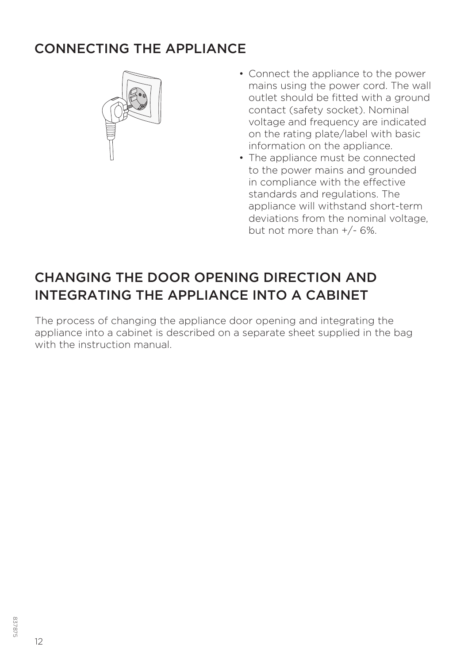#### CONNECTING THE APPLIANCE



- Connect the appliance to the power mains using the power cord. The wall outlet should be fitted with a ground contact (safety socket). Nominal voltage and frequency are indicated on the rating plate/label with basic information on the appliance.
- The appliance must be connected to the power mains and grounded in compliance with the effective standards and regulations. The appliance will withstand short-term deviations from the nominal voltage, but not more than +/- 6%.

#### CHANGING THE DOOR OPENING DIRECTION AND INTEGRATING THE APPLIANCE INTO A CABINET

The process of changing the appliance door opening and integrating the appliance into a cabinet is described on a separate sheet supplied in the bag with the instruction manual.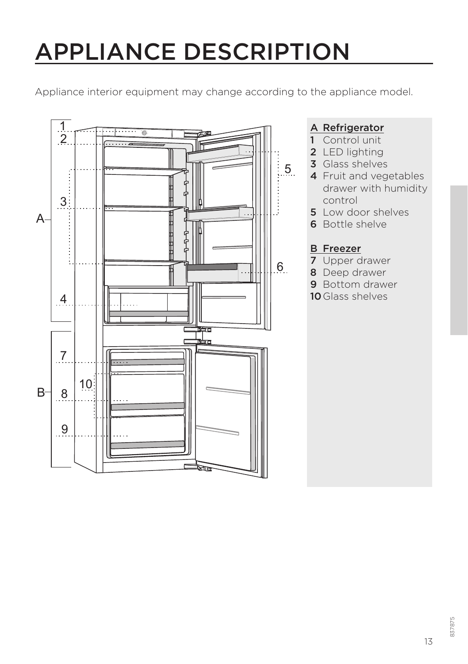## APPLIANCE DESCRIPTION

Appliance interior equipment may change according to the appliance model.



#### A Refrigerator

- 1 Control unit
- 2 LED lighting
- **3** Glass shelves
- 4 Fruit and vegetables drawer with humidity control
- 5 Low door shelves
- 6 Bottle shelve

#### B Freezer

- 7 Upper drawer
- 8 Deep drawer
- 9 Bottom drawer
- 10 Glass shelves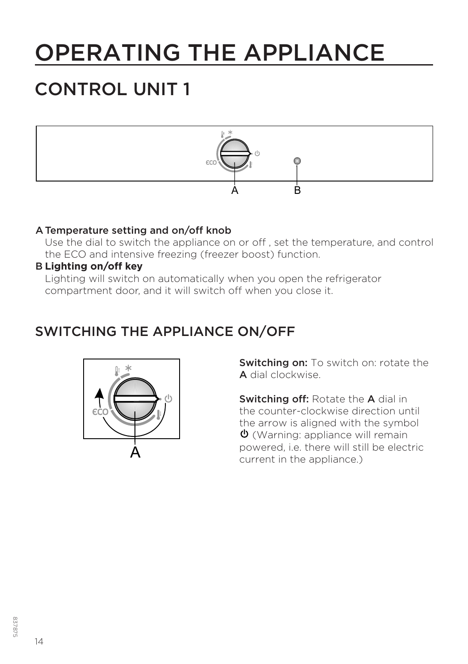## OPERATING THE APPLIANCE

#### CONTROL UNIT 1



#### A Temperature setting and on/off knob

 Use the dial to switch the appliance on or off , set the temperature, and control the ECO and intensive freezing (freezer boost) function.

#### B **Lighting on/off key**

 Lighting will switch on automatically when you open the refrigerator compartment door, and it will switch off when you close it.

#### SWITCHING THE APPLIANCE ON/OFF



**Switching on:** To switch on: rotate the A dial clockwise.

Switching off: Rotate the A dial in the counter-clockwise direction until the arrow is aligned with the symbol  $\phi$  (Warning: appliance will remain powered, i.e. there will still be electric current in the appliance.)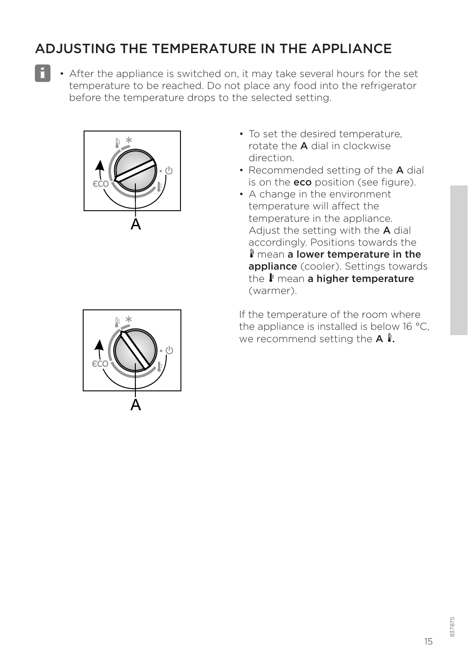#### ADJUSTING THE TEMPERATURE IN THE APPLIANCE

i

• After the appliance is switched on, it may take several hours for the set temperature to be reached. Do not place any food into the refrigerator before the temperature drops to the selected setting.



- To set the desired temperature rotate the A dial in clockwise direction.
- Recommended setting of the **A** dial is on the **eco** position (see figure).
- A change in the environment temperature will affect the temperature in the appliance. Adjust the setting with the A dial accordingly. Positions towards the **I** mean a lower temperature in the appliance (cooler). Settings towards the  $\mathbf{l}$  mean a higher temperature (warmer).

If the temperature of the room where the appliance is installed is below 16 °C, we recommend setting the  $A \, \ell$ .

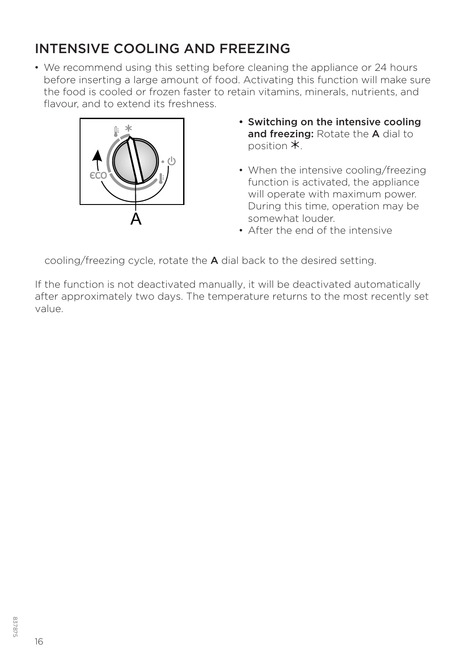#### INTENSIVE COOLING AND FREEZING

• We recommend using this setting before cleaning the appliance or 24 hours before inserting a large amount of food. Activating this function will make sure the food is cooled or frozen faster to retain vitamins, minerals, nutrients, and flavour, and to extend its freshness.



- Switching on the intensive cooling and freezing: Rotate the A dial to position  $*$
- When the intensive cooling/freezing function is activated, the appliance will operate with maximum power. During this time, operation may be somewhat louder.
- After the end of the intensive

cooling/freezing cycle, rotate the A dial back to the desired setting.

If the function is not deactivated manually, it will be deactivated automatically after approximately two days. The temperature returns to the most recently set value.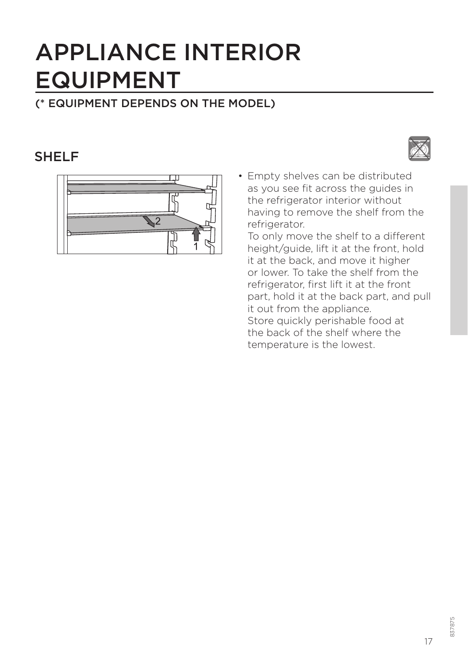## APPLIANCE INTERIOR EQUIPMENT

#### (\* EQUIPMENT DEPENDS ON THE MODEL)

#### **SHELF**



• Empty shelves can be distributed as you see fit across the guides in the refrigerator interior without having to remove the shelf from the refrigerator.

To only move the shelf to a different height/guide, lift it at the front, hold it at the back, and move it higher or lower. To take the shelf from the refrigerator, first lift it at the front part, hold it at the back part, and pull it out from the appliance. Store quickly perishable food at the back of the shelf where the temperature is the lowest.

17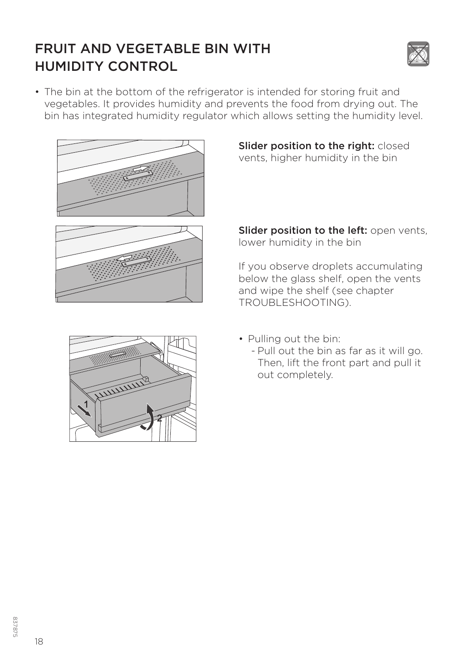#### FRUIT AND VEGETABLE BIN WITH HUMIDITY CONTROL



• The bin at the bottom of the refrigerator is intended for storing fruit and vegetables. It provides humidity and prevents the food from drying out. The bin has integrated humidity regulator which allows setting the humidity level.





Slider position to the right: closed vents, higher humidity in the bin

Slider position to the left: open vents, lower humidity in the bin

If you observe droplets accumulating below the glass shelf, open the vents and wipe the shelf (see chapter TROUBLESHOOTING).



- Pulling out the bin:
	- Pull out the bin as far as it will go. Then, lift the front part and pull it out completely.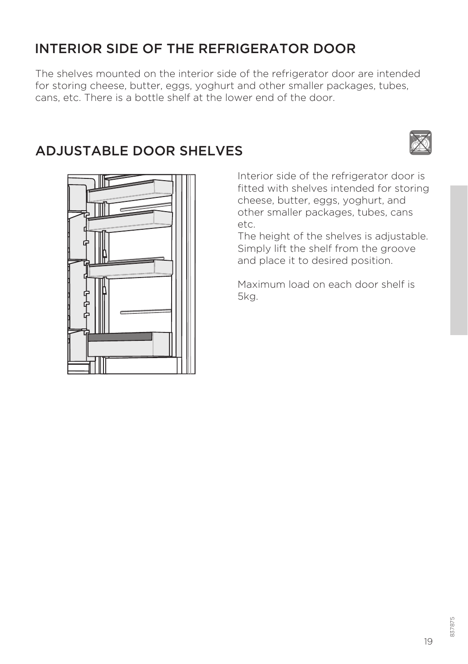#### INTERIOR SIDE OF THE REFRIGERATOR DOOR

The shelves mounted on the interior side of the refrigerator door are intended for storing cheese, butter, eggs, yoghurt and other smaller packages, tubes, cans, etc. There is a bottle shelf at the lower end of the door.

#### ADJUSTABLE DOOR SHELVES





Interior side of the refrigerator door is fitted with shelves intended for storing cheese, butter, eggs, yoghurt, and other smaller packages, tubes, cans etc.

The height of the shelves is adjustable. Simply lift the shelf from the groove and place it to desired position.

Maximum load on each door shelf is 5kg.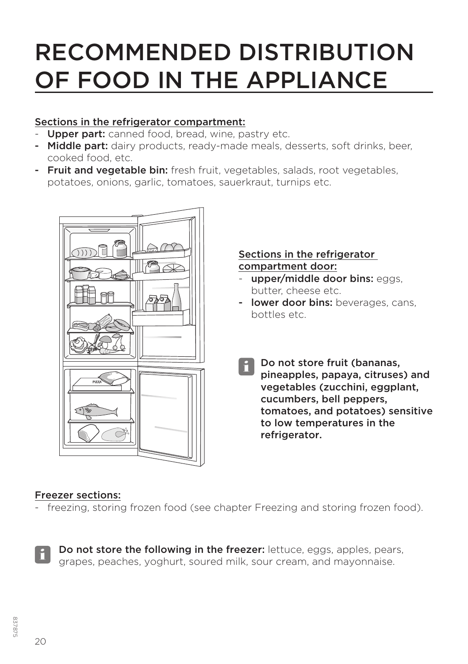## RECOMMENDED DISTRIBUTION OF FOOD IN THE APPLIANCE

#### Sections in the refrigerator compartment:

- Upper part: canned food, bread, wine, pastry etc.
- Middle part: dairy products, ready-made meals, desserts, soft drinks, beer, cooked food, etc.
- Fruit and vegetable bin: fresh fruit, vegetables, salads, root vegetables, potatoes, onions, garlic, tomatoes, sauerkraut, turnips etc.



#### Sections in the refrigerator compartment door:

- upper/middle door bins: eggs. butter, cheese etc.
- lower door bins: beverages, cans, bottles etc.
	- Do not store fruit (bananas, pineapples, papaya, citruses) and vegetables (zucchini, eggplant, cucumbers, bell peppers, tomatoes, and potatoes) sensitive to low temperatures in the refrigerator. i

#### Freezer sections:

- freezing, storing frozen food (see chapter Freezing and storing frozen food).

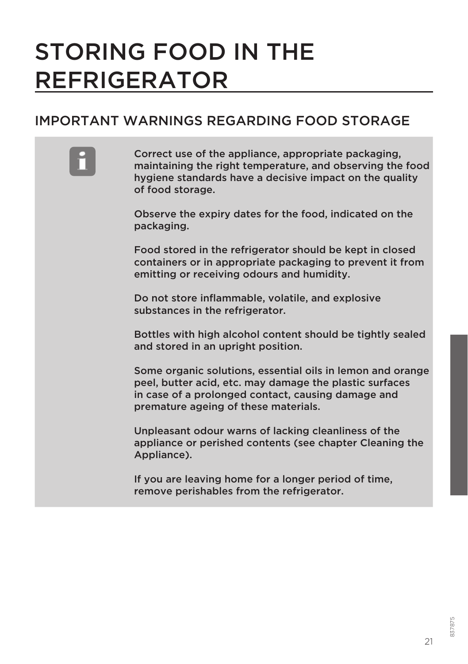## STORING FOOD IN THE REFRIGERATOR

#### IMPORTANT WARNINGS REGARDING FOOD STORAGE

**Example 2** Correct use of the appliance, appropriate packaging,<br>
maintaining the right temperature, and observing the food hygiene standards have a decisive impact on the quality of food storage.

> Observe the expiry dates for the food, indicated on the packaging.

Food stored in the refrigerator should be kept in closed containers or in appropriate packaging to prevent it from emitting or receiving odours and humidity.

Do not store inflammable, volatile, and explosive substances in the refrigerator.

Bottles with high alcohol content should be tightly sealed and stored in an upright position.

Some organic solutions, essential oils in lemon and orange peel, butter acid, etc. may damage the plastic surfaces in case of a prolonged contact, causing damage and premature ageing of these materials.

Unpleasant odour warns of lacking cleanliness of the appliance or perished contents (see chapter Cleaning the Appliance).

If you are leaving home for a longer period of time, remove perishables from the refrigerator.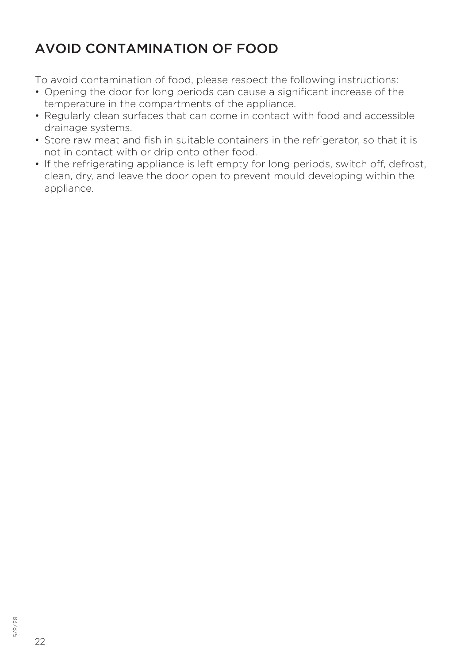#### AVOID CONTAMINATION OF FOOD

To avoid contamination of food, please respect the following instructions:

- Opening the door for long periods can cause a significant increase of the temperature in the compartments of the appliance.
- Regularly clean surfaces that can come in contact with food and accessible drainage systems.
- Store raw meat and fish in suitable containers in the refrigerator, so that it is not in contact with or drip onto other food.
- If the refrigerating appliance is left empty for long periods, switch off, defrost, clean, dry, and leave the door open to prevent mould developing within the appliance.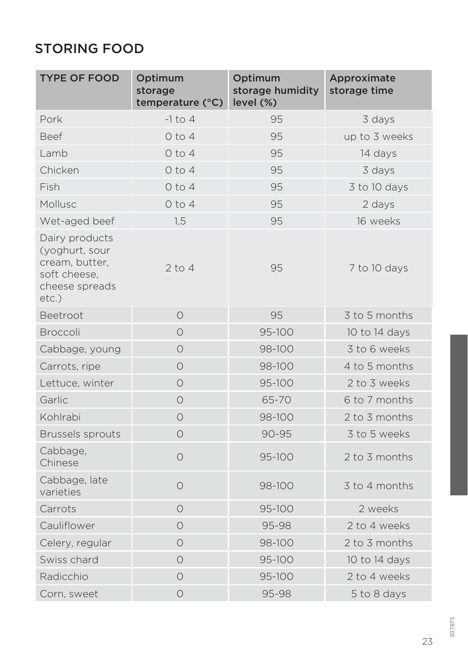#### STORING FOOD

| <b>TYPE OF FOOD</b>                                                                              | Optimum<br>storage<br>temperature (°C) | Optimum<br>storage humidity<br>level (%) | Approximate<br>storage time |
|--------------------------------------------------------------------------------------------------|----------------------------------------|------------------------------------------|-----------------------------|
| Pork                                                                                             | $-1$ to 4                              | 95                                       | 3 days                      |
| <b>Beef</b>                                                                                      | $0$ to $4$                             | 95                                       | up to 3 weeks               |
| Lamb                                                                                             | $0$ to $4$                             | 95                                       | 14 days                     |
| Chicken                                                                                          | $0$ to $4$                             | 95                                       | 3 days                      |
| Fish                                                                                             | $0$ to $4$                             | 95                                       | 3 to 10 days                |
| Mollusc                                                                                          | $0$ to $4$                             | 95                                       | 2 days                      |
| Wet-aged beef                                                                                    | 1,5                                    | 95                                       | 16 weeks                    |
| Dairy products<br>(yoghurt, sour<br>cream, butter,<br>soft cheese.<br>cheese spreads<br>$etc.$ ) | $2$ to $4$                             | 95                                       | 7 to 10 days                |
| Beetroot                                                                                         | $\circ$                                | 95                                       | 3 to 5 months               |
| <b>Broccoli</b>                                                                                  | $\bigcirc$                             | 95-100                                   | 10 to 14 days               |
| Cabbage, young                                                                                   | $\bigcirc$                             | 98-100                                   | 3 to 6 weeks                |
| Carrots, ripe                                                                                    | $\circ$                                | 98-100                                   | 4 to 5 months               |
| Lettuce, winter                                                                                  | $\bigcirc$                             | 95-100                                   | 2 to 3 weeks                |
| Garlic                                                                                           | $\circ$                                | 65-70                                    | 6 to 7 months               |
| Kohlrabi                                                                                         | $\circ$                                | 98-100                                   | 2 to 3 months               |
| <b>Brussels sprouts</b>                                                                          | $\bigcirc$                             | 90-95                                    | 3 to 5 weeks                |
| Cabbage,<br>Chinese                                                                              | $\circ$                                | 95-100                                   | 2 to 3 months               |
| Cabbage, late<br>varieties                                                                       | $\circ$                                | 98-100                                   | 3 to 4 months               |
| Carrots                                                                                          | $\bigcirc$                             | 95-100                                   | 2 weeks                     |
| Cauliflower                                                                                      | $\circ$                                | 95-98                                    | 2 to 4 weeks                |
| Celery, regular                                                                                  | $\bigcirc$                             | 98-100                                   | 2 to 3 months               |
| Swiss chard                                                                                      | $\bigcirc$                             | 95-100                                   | 10 to 14 days               |
| Radicchio                                                                                        | $\circ$                                | 95-100                                   | 2 to 4 weeks                |
| Corn, sweet                                                                                      | $\circ$                                | 95-98                                    | 5 to 8 days                 |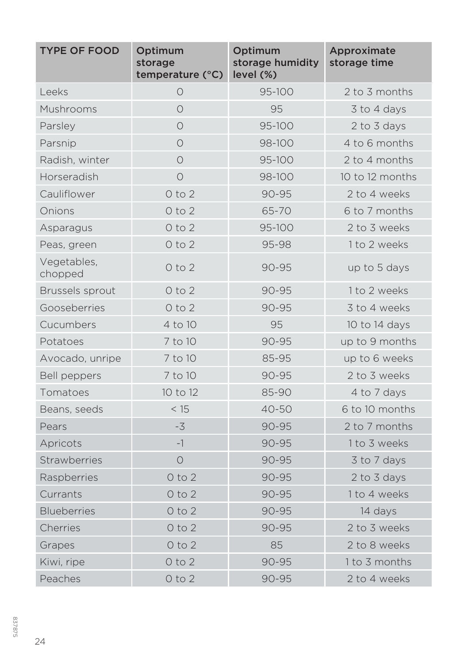| <b>TYPE OF FOOD</b>    | Optimum<br>storage<br>temperature (°C) | Optimum<br>storage humidity<br>level (%) | Approximate<br>storage time |
|------------------------|----------------------------------------|------------------------------------------|-----------------------------|
| Leeks                  | $\circ$                                | 95-100                                   | 2 to 3 months               |
| Mushrooms              | $\bigcirc$                             | 95                                       | 3 to 4 days                 |
| Parsley                | $\bigcirc$                             | 95-100                                   | 2 to 3 days                 |
| Parsnip                | $\bigcirc$                             | 98-100                                   | 4 to 6 months               |
| Radish, winter         | $\bigcirc$                             | 95-100                                   | 2 to 4 months               |
| Horseradish            | $\circ$                                | 98-100                                   | 10 to 12 months             |
| Cauliflower            | $0$ to $2$                             | $90 - 95$                                | 2 to 4 weeks                |
| Onions                 | $0$ to $2$                             | 65-70                                    | 6 to 7 months               |
| Asparagus              | $0$ to $2$                             | 95-100                                   | 2 to 3 weeks                |
| Peas, green            | $0$ to $2$                             | 95-98                                    | 1 to 2 weeks                |
| Vegetables,<br>chopped | $0$ to $2$                             | 90-95                                    | up to 5 days                |
| <b>Brussels sprout</b> | $0$ to $2$                             | 90-95                                    | 1 to 2 weeks                |
| Gooseberries           | $0$ to $2$                             | $90 - 95$                                | 3 to 4 weeks                |
| Cucumbers              | 4 to 10                                | 95                                       | 10 to 14 days               |
| Potatoes               | 7 to 10                                | 90-95                                    | up to 9 months              |
| Avocado, unripe        | 7 to 10                                | 85-95                                    | up to 6 weeks               |
| Bell peppers           | 7 to 10                                | 90-95                                    | 2 to 3 weeks                |
| Tomatoes               | 10 to 12                               | 85-90                                    | 4 to 7 days                 |
| Beans, seeds           | < 15                                   | 40-50                                    | 6 to 10 months              |
| Pears                  | $-3$                                   | $90 - 95$                                | 2 to 7 months               |
| Apricots               | $-1$                                   | 90-95                                    | 1 to 3 weeks                |
| <b>Strawberries</b>    | $\circ$                                | $90 - 95$                                | 3 to 7 days                 |
| Raspberries            | $0$ to $2$                             | 90-95                                    | 2 to 3 days                 |
| Currants               | $0$ to $2$                             | $90 - 95$                                | 1 to 4 weeks                |
| <b>Blueberries</b>     | $0$ to $2$                             | 90-95                                    | 14 days                     |
| Cherries               | $0$ to $2$                             | 90-95                                    | 2 to 3 weeks                |
| Grapes                 | $0$ to $2$                             | 85                                       | 2 to 8 weeks                |
| Kiwi, ripe             | $0$ to $2$                             | 90-95                                    | 1 to 3 months               |
| Peaches                | $0$ to $2$                             | 90-95                                    | 2 to 4 weeks                |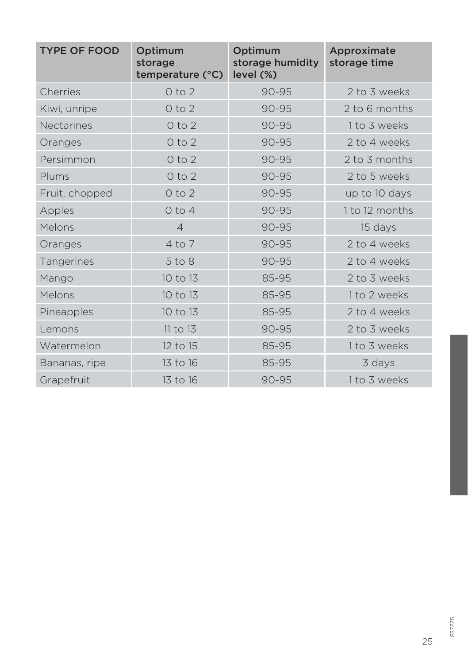| <b>TYPE OF FOOD</b> | Optimum<br>storage<br>temperature (°C) | Optimum<br>storage humidity<br>level (%) | Approximate<br>storage time |
|---------------------|----------------------------------------|------------------------------------------|-----------------------------|
| Cherries            | 0 to 2                                 | $90 - 95$                                | 2 to 3 weeks                |
| Kiwi, unripe        | $0$ to $2$                             | 90-95                                    | 2 to 6 months               |
| <b>Nectarines</b>   | 0 to 2                                 | $90 - 95$                                | 1 to 3 weeks                |
| Oranges             | $0$ to $2$                             | $90 - 95$                                | 2 to 4 weeks                |
| Persimmon           | $0$ to $2$                             | 90-95                                    | 2 to 3 months               |
| Plums               | $0$ to $2$                             | 90-95                                    | 2 to 5 weeks                |
| Fruit, chopped      | $0$ to $2$                             | 90-95                                    | up to 10 days               |
| Apples              | $0$ to $4$                             | 90-95                                    | 1 to 12 months              |
| Melons              | $\overline{4}$                         | 90-95                                    | 15 days                     |
| Oranges             | $4$ to $7$                             | $90 - 95$                                | 2 to 4 weeks                |
| <b>Tangerines</b>   | $5$ to $8$                             | $90 - 95$                                | 2 to 4 weeks                |
| Mango               | 10 to 13                               | 85-95                                    | 2 to 3 weeks                |
| Melons              | 10 to 13                               | 85-95                                    | 1 to 2 weeks                |
| Pineapples          | 10 to 13                               | 85-95                                    | 2 to 4 weeks                |
| Lemons              | 11 to 13                               | 90-95                                    | 2 to 3 weeks                |
| Watermelon          | 12 to 15                               | 85-95                                    | 1 to 3 weeks                |
| Bananas, ripe       | 13 to 16                               | 85-95                                    | 3 days                      |
| Grapefruit          | 13 to 16                               | $90 - 95$                                | 1 to 3 weeks                |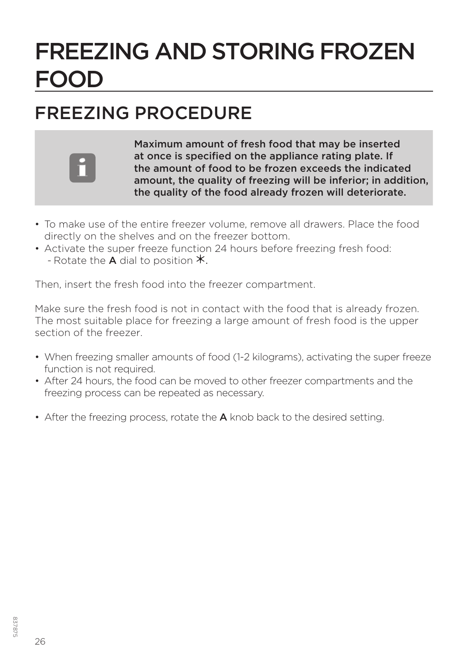## FREEZING AND STORING FROZEN FOOD

#### FREEZING PROCEDURE



Maximum amount of fresh food that may be inserted at once is specified on the appliance rating plate. If the amount of food to be frozen exceeds the indicated amount, the quality of freezing will be inferior; in addition, the quality of the food already frozen will deteriorate.

- To make use of the entire freezer volume, remove all drawers. Place the food directly on the shelves and on the freezer bottom.
- Activate the super freeze function 24 hours before freezing fresh food: - Rotate the **A** dial to position  $*$ .

Then, insert the fresh food into the freezer compartment.

Make sure the fresh food is not in contact with the food that is already frozen. The most suitable place for freezing a large amount of fresh food is the upper section of the freezer.

- When freezing smaller amounts of food (1-2 kilograms), activating the super freeze function is not required.
- After 24 hours, the food can be moved to other freezer compartments and the freezing process can be repeated as necessary.
- After the freezing process, rotate the **A** knob back to the desired setting.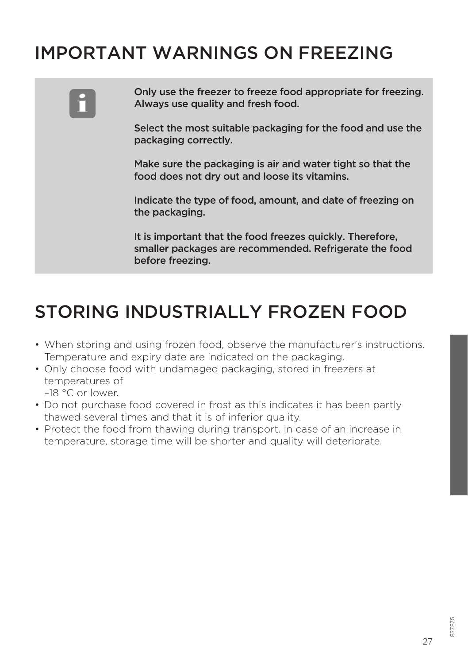#### IMPORTANT WARNINGS ON FREEZING



Only use the freezer to freeze food appropriate for freezing. Always use quality and fresh food.

Select the most suitable packaging for the food and use the packaging correctly.

Make sure the packaging is air and water tight so that the food does not dry out and loose its vitamins.

Indicate the type of food, amount, and date of freezing on the packaging.

It is important that the food freezes quickly. Therefore, smaller packages are recommended. Refrigerate the food before freezing.

#### STORING INDUSTRIALLY FROZEN FOOD

- When storing and using frozen food, observe the manufacturer's instructions. Temperature and expiry date are indicated on the packaging.
- Only choose food with undamaged packaging, stored in freezers at temperatures of –18 °C or lower.
- Do not purchase food covered in frost as this indicates it has been partly thawed several times and that it is of inferior quality.
- Protect the food from thawing during transport. In case of an increase in temperature, storage time will be shorter and quality will deteriorate.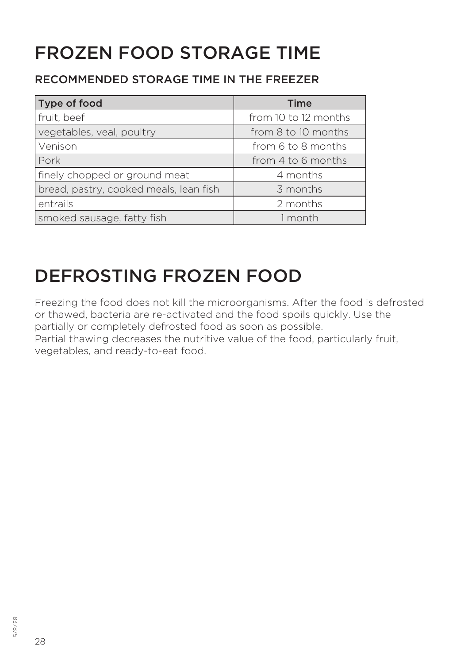### FROZEN FOOD STORAGE TIME

#### RECOMMENDED STORAGE TIME IN THE FREEZER

| Type of food                           | <b>Time</b>          |
|----------------------------------------|----------------------|
| fruit, beef                            | from 10 to 12 months |
| vegetables, veal, poultry              | from 8 to 10 months  |
| Venison                                | from 6 to 8 months   |
| Pork                                   | from 4 to 6 months   |
| finely chopped or ground meat          | 4 months             |
| bread, pastry, cooked meals, lean fish | 3 months             |
| entrails                               | 2 months             |
| smoked sausage, fatty fish             | 1 month              |

#### DEFROSTING FROZEN FOOD

Freezing the food does not kill the microorganisms. After the food is defrosted or thawed, bacteria are re-activated and the food spoils quickly. Use the partially or completely defrosted food as soon as possible.

Partial thawing decreases the nutritive value of the food, particularly fruit, vegetables, and ready-to-eat food.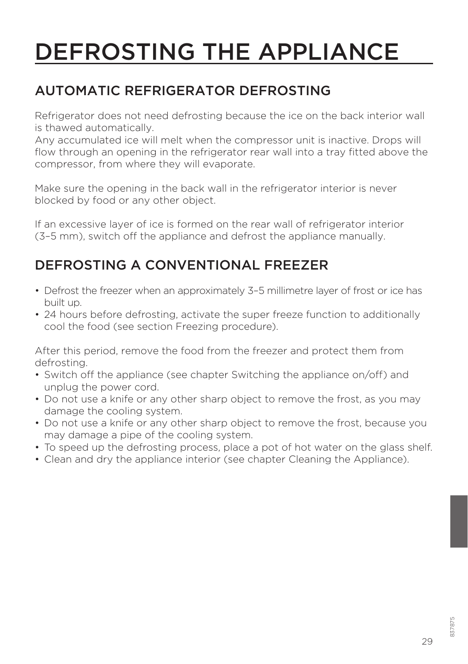## DEFROSTING THE APPLIANCE

#### AUTOMATIC REFRIGERATOR DEFROSTING

Refrigerator does not need defrosting because the ice on the back interior wall is thawed automatically.

Any accumulated ice will melt when the compressor unit is inactive. Drops will flow through an opening in the refrigerator rear wall into a tray fitted above the compressor, from where they will evaporate.

Make sure the opening in the back wall in the refrigerator interior is never blocked by food or any other object.

If an excessive layer of ice is formed on the rear wall of refrigerator interior (3–5 mm), switch off the appliance and defrost the appliance manually.

#### DEFROSTING A CONVENTIONAL FREEZER

- Defrost the freezer when an approximately 3–5 millimetre layer of frost or ice has built up.
- 24 hours before defrosting, activate the super freeze function to additionally cool the food (see section Freezing procedure).

After this period, remove the food from the freezer and protect them from defrosting.

- Switch off the appliance (see chapter Switching the appliance on/off) and unplug the power cord.
- Do not use a knife or any other sharp object to remove the frost, as you may damage the cooling system.
- Do not use a knife or any other sharp object to remove the frost, because you may damage a pipe of the cooling system.
- To speed up the defrosting process, place a pot of hot water on the glass shelf.
- Clean and dry the appliance interior (see chapter Cleaning the Appliance).

29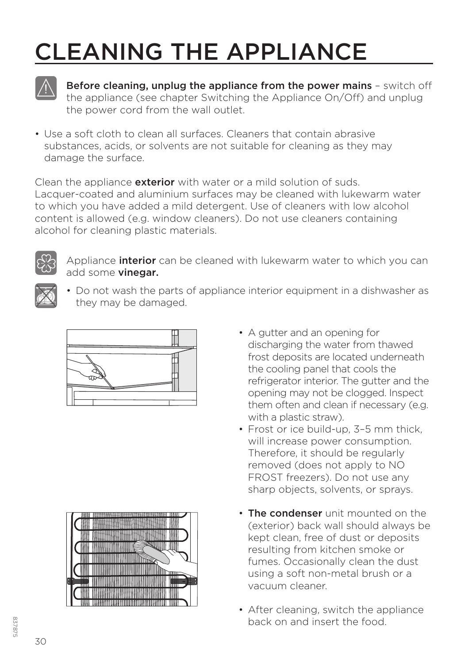## CLEANING THE APPLIANCE



Before cleaning, unplug the appliance from the power mains - switch off the appliance (see chapter Switching the Appliance On/Off) and unplug the power cord from the wall outlet.

• Use a soft cloth to clean all surfaces. Cleaners that contain abrasive substances, acids, or solvents are not suitable for cleaning as they may damage the surface.

Clean the appliance **exterior** with water or a mild solution of suds. Lacquer-coated and aluminium surfaces may be cleaned with lukewarm water to which you have added a mild detergent. Use of cleaners with low alcohol content is allowed (e.g. window cleaners). Do not use cleaners containing alcohol for cleaning plastic materials.



Appliance **interior** can be cleaned with lukewarm water to which you can add some **vinegar**.



• Do not wash the parts of appliance interior equipment in a dishwasher as they may be damaged.





- A gutter and an opening for discharging the water from thawed frost deposits are located underneath the cooling panel that cools the refrigerator interior. The gutter and the opening may not be clogged. Inspect them often and clean if necessary (e.g. with a plastic straw).
- Frost or ice build-up, 3–5 mm thick, will increase power consumption. Therefore, it should be regularly removed (does not apply to NO FROST freezers). Do not use any sharp objects, solvents, or sprays.
- The condenser unit mounted on the (exterior) back wall should always be kept clean, free of dust or deposits resulting from kitchen smoke or fumes. Occasionally clean the dust using a soft non-metal brush or a vacuum cleaner.
- After cleaning, switch the appliance back on and insert the food.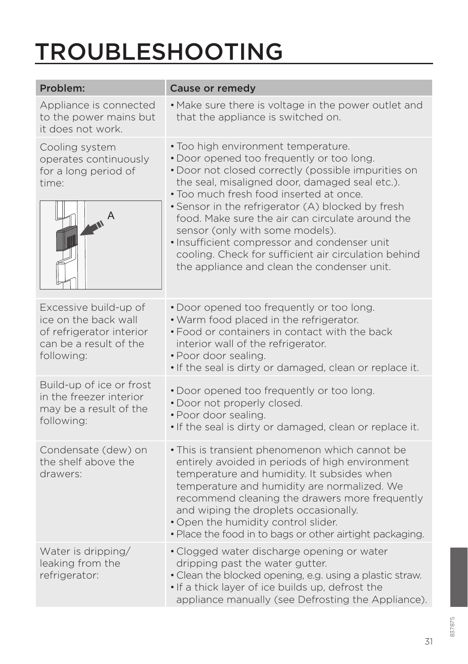## TROUBLESHOOTING

| Problem:                                                                                                          | Cause or remedy                                                                                                                                                                                                                                                                                                                                                                                                                                                                                                                         |
|-------------------------------------------------------------------------------------------------------------------|-----------------------------------------------------------------------------------------------------------------------------------------------------------------------------------------------------------------------------------------------------------------------------------------------------------------------------------------------------------------------------------------------------------------------------------------------------------------------------------------------------------------------------------------|
| Appliance is connected<br>to the power mains but<br>it does not work.                                             | . Make sure there is voltage in the power outlet and<br>that the appliance is switched on.                                                                                                                                                                                                                                                                                                                                                                                                                                              |
| Cooling system<br>operates continuously<br>for a long period of<br>time:                                          | • Too high environment temperature.<br>. Door opened too frequently or too long.<br>· Door not closed correctly (possible impurities on<br>the seal, misaligned door, damaged seal etc.).<br>. Too much fresh food inserted at once.<br>• Sensor in the refrigerator (A) blocked by fresh<br>food. Make sure the air can circulate around the<br>sensor (only with some models).<br>· Insufficient compressor and condenser unit<br>cooling. Check for sufficient air circulation behind<br>the appliance and clean the condenser unit. |
| Excessive build-up of<br>ice on the back wall<br>of refrigerator interior<br>can be a result of the<br>following: | . Door opened too frequently or too long.<br>. Warm food placed in the refrigerator.<br>. Food or containers in contact with the back<br>interior wall of the refrigerator.<br>• Poor door sealing.<br>. If the seal is dirty or damaged, clean or replace it.                                                                                                                                                                                                                                                                          |
| Build-up of ice or frost<br>in the freezer interior<br>may be a result of the<br>following:                       | . Door opened too frequently or too long.<br>. Door not properly closed.<br>· Poor door sealing.<br>. If the seal is dirty or damaged, clean or replace it.                                                                                                                                                                                                                                                                                                                                                                             |
| Condensate (dew) on<br>the shelf above the<br>drawers:                                                            | · This is transient phenomenon which cannot be<br>entirely avoided in periods of high environment<br>temperature and humidity. It subsides when<br>temperature and humidity are normalized. We<br>recommend cleaning the drawers more frequently<br>and wiping the droplets occasionally.<br>. Open the humidity control slider.<br>. Place the food in to bags or other airtight packaging.                                                                                                                                            |
| Water is dripping/<br>leaking from the<br>refrigerator:                                                           | • Clogged water discharge opening or water<br>dripping past the water gutter.<br>• Clean the blocked opening, e.g. using a plastic straw.<br>. If a thick layer of ice builds up, defrost the<br>appliance manually (see Defrosting the Appliance).                                                                                                                                                                                                                                                                                     |

31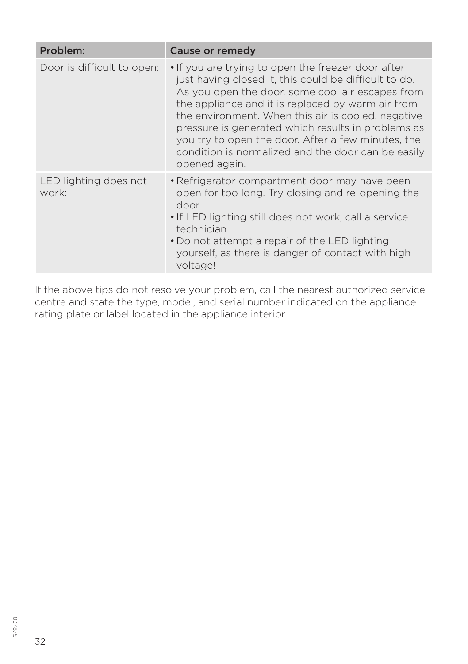| Problem:                       | Cause or remedy                                                                                                                                                                                                                                                                                                                                                                                                                                               |
|--------------------------------|---------------------------------------------------------------------------------------------------------------------------------------------------------------------------------------------------------------------------------------------------------------------------------------------------------------------------------------------------------------------------------------------------------------------------------------------------------------|
| Door is difficult to open:     | • If you are trying to open the freezer door after<br>just having closed it, this could be difficult to do.<br>As you open the door, some cool air escapes from<br>the appliance and it is replaced by warm air from<br>the environment. When this air is cooled, negative<br>pressure is generated which results in problems as<br>you try to open the door. After a few minutes, the<br>condition is normalized and the door can be easily<br>opened again. |
| LED lighting does not<br>work: | • Refrigerator compartment door may have been<br>open for too long. Try closing and re-opening the<br>door<br>• If LED lighting still does not work, call a service<br>technician.<br>. Do not attempt a repair of the LED lighting<br>yourself, as there is danger of contact with high<br>voltage!                                                                                                                                                          |

If the above tips do not resolve your problem, call the nearest authorized service centre and state the type, model, and serial number indicated on the appliance rating plate or label located in the appliance interior.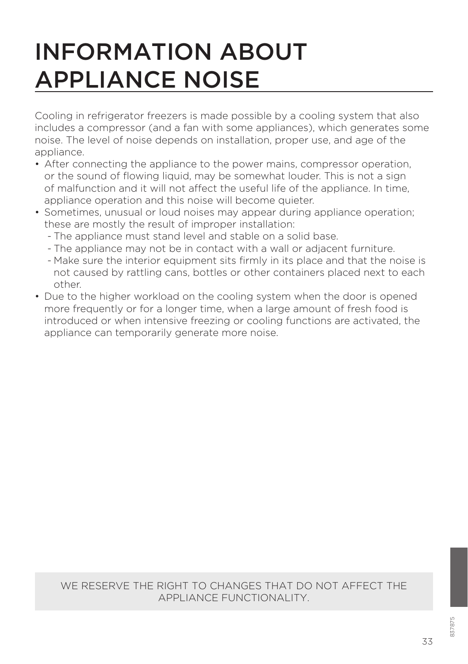## INFORMATION ABOUT APPLIANCE NOISE

Cooling in refrigerator freezers is made possible by a cooling system that also includes a compressor (and a fan with some appliances), which generates some noise. The level of noise depends on installation, proper use, and age of the appliance.

- After connecting the appliance to the power mains, compressor operation, or the sound of flowing liquid, may be somewhat louder. This is not a sign of malfunction and it will not affect the useful life of the appliance. In time, appliance operation and this noise will become quieter.
- Sometimes, unusual or loud noises may appear during appliance operation; these are mostly the result of improper installation:
	- The appliance must stand level and stable on a solid base.
	- The appliance may not be in contact with a wall or adjacent furniture.
	- Make sure the interior equipment sits firmly in its place and that the noise is not caused by rattling cans, bottles or other containers placed next to each other.
- Due to the higher workload on the cooling system when the door is opened more frequently or for a longer time, when a large amount of fresh food is introduced or when intensive freezing or cooling functions are activated, the appliance can temporarily generate more noise.

#### WE RESERVE THE RIGHT TO CHANGES THAT DO NOT AFFECT THE APPLIANCE FUNCTIONALITY.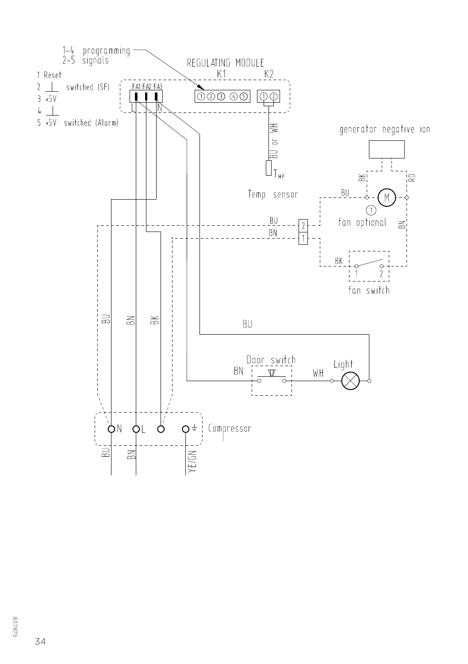